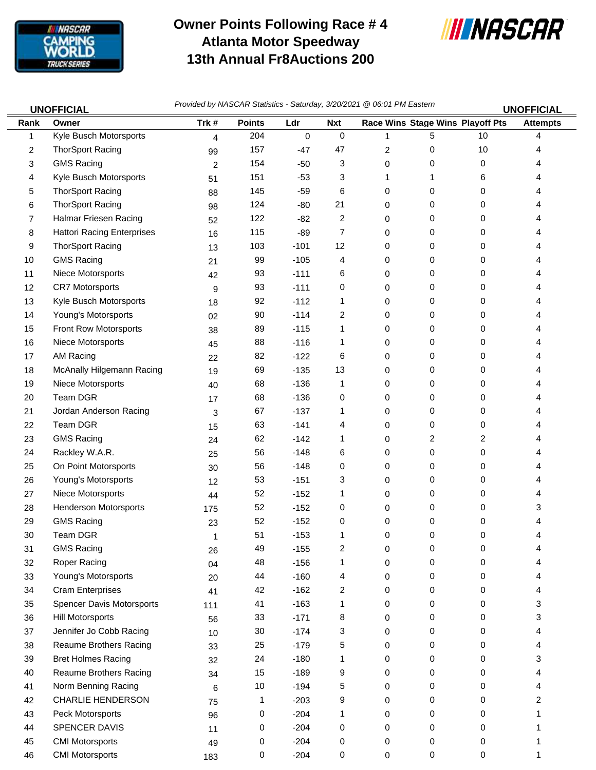

## **Owner Points Following Race # 4 Atlanta Motor Speedway 13th Annual Fr8Auctions 200**



46 CMI Motorsports 183 0 -204 0 0 0 0 1